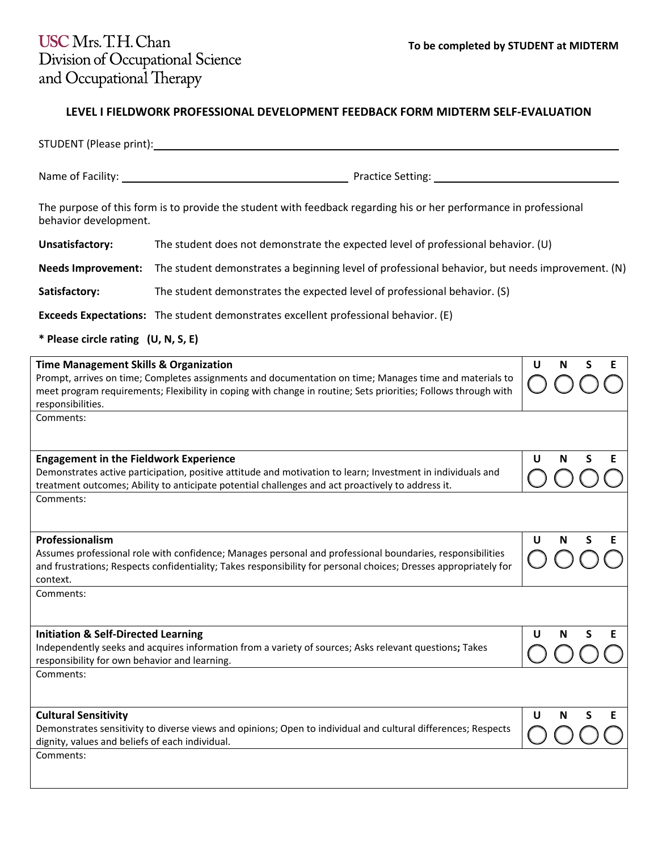## **LEVEL I FIELDWORK PROFESSIONAL DEVELOPMENT FEEDBACK FORM MIDTERM SELF-EVALUATION**

| STUDENT (Please print):                                                                                                                                                                                                                                                                            |                                                                                                                   |                  |  |  |  |
|----------------------------------------------------------------------------------------------------------------------------------------------------------------------------------------------------------------------------------------------------------------------------------------------------|-------------------------------------------------------------------------------------------------------------------|------------------|--|--|--|
|                                                                                                                                                                                                                                                                                                    |                                                                                                                   |                  |  |  |  |
| behavior development.                                                                                                                                                                                                                                                                              | The purpose of this form is to provide the student with feedback regarding his or her performance in professional |                  |  |  |  |
| Unsatisfactory:                                                                                                                                                                                                                                                                                    | The student does not demonstrate the expected level of professional behavior. (U)                                 |                  |  |  |  |
| <b>Needs Improvement:</b>                                                                                                                                                                                                                                                                          | The student demonstrates a beginning level of professional behavior, but needs improvement. (N)                   |                  |  |  |  |
| Satisfactory:                                                                                                                                                                                                                                                                                      | The student demonstrates the expected level of professional behavior. (S)                                         |                  |  |  |  |
|                                                                                                                                                                                                                                                                                                    | <b>Exceeds Expectations:</b> The student demonstrates excellent professional behavior. (E)                        |                  |  |  |  |
| * Please circle rating (U, N, S, E)                                                                                                                                                                                                                                                                |                                                                                                                   |                  |  |  |  |
| <b>Time Management Skills &amp; Organization</b><br>Prompt, arrives on time; Completes assignments and documentation on time; Manages time and materials to<br>meet program requirements; Flexibility in coping with change in routine; Sets priorities; Follows through with<br>responsibilities. | U<br>S<br>N<br>E                                                                                                  |                  |  |  |  |
| Comments:                                                                                                                                                                                                                                                                                          |                                                                                                                   |                  |  |  |  |
| <b>Engagement in the Fieldwork Experience</b><br>Demonstrates active participation, positive attitude and motivation to learn; Investment in individuals and<br>treatment outcomes; Ability to anticipate potential challenges and act proactively to address it.                                  |                                                                                                                   | S<br>U<br>N<br>E |  |  |  |
| Comments:                                                                                                                                                                                                                                                                                          |                                                                                                                   |                  |  |  |  |
| Professionalism<br>Assumes professional role with confidence; Manages personal and professional boundaries, responsibilities<br>and frustrations; Respects confidentiality; Takes responsibility for personal choices; Dresses appropriately for<br>context.                                       |                                                                                                                   | U<br>S<br>N<br>E |  |  |  |
| Comments:                                                                                                                                                                                                                                                                                          |                                                                                                                   |                  |  |  |  |
| <b>Initiation &amp; Self-Directed Learning</b><br>Independently seeks and acquires information from a variety of sources; Asks relevant questions; Takes<br>responsibility for own behavior and learning.<br>Comments:                                                                             |                                                                                                                   | U<br>S<br>Ε<br>N |  |  |  |
| <b>Cultural Sensitivity</b><br>Demonstrates sensitivity to diverse views and opinions; Open to individual and cultural differences; Respects<br>dignity, values and beliefs of each individual.<br>Comments:                                                                                       |                                                                                                                   | U<br>S<br>N<br>E |  |  |  |
|                                                                                                                                                                                                                                                                                                    |                                                                                                                   |                  |  |  |  |